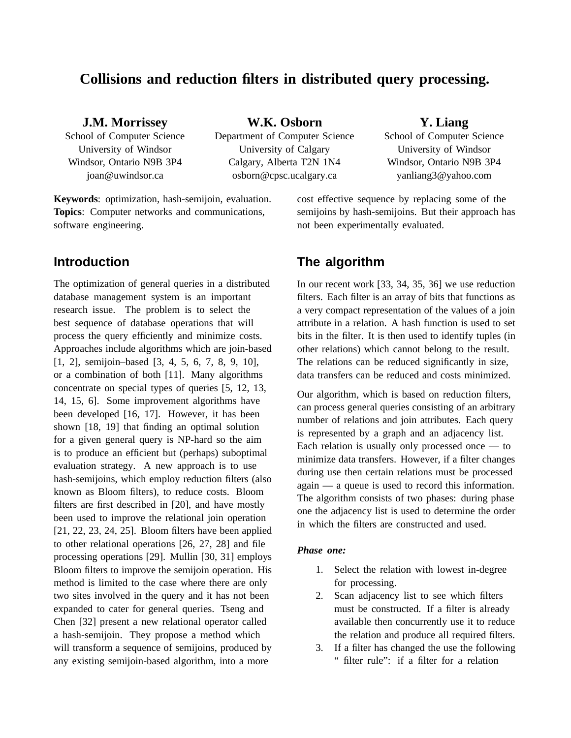# **Collisions and reduction filters in distributed query processing.**

#### **J.M. Morrissey**

School of Computer Science University of Windsor Windsor, Ontario N9B 3P4 joan@uwindsor.ca

**W.K. Osborn** Department of Computer Science University of Calgary Calgary, Alberta T2N 1N4 osborn@cpsc.ucalgary.ca

#### **Y. Liang**

School of Computer Science University of Windsor Windsor, Ontario N9B 3P4 yanliang3@yahoo.com

**Keywords**: optimization, hash-semijoin, evaluation. **Topics**: Computer networks and communications, software engineering.

## **Introduction**

The optimization of general queries in a distributed database management system is an important research issue. The problem is to select the best sequence of database operations that will process the query efficiently and minimize costs. Approaches include algorithms which are join-based [1, 2], semijoin–based [3, 4, 5, 6, 7, 8, 9, 10], or a combination of both [11]. Many algorithms concentrate on special types of queries [5, 12, 13, 14, 15, 6]. Some improvement algorithms have been developed [16, 17]. However, it has been shown [18, 19] that finding an optimal solution for a given general query is NP-hard so the aim is to produce an efficient but (perhaps) suboptimal evaluation strategy. A new approach is to use hash-semijoins, which employ reduction filters (also known as Bloom filters), to reduce costs. Bloom filters are first described in [20], and have mostly been used to improve the relational join operation [21, 22, 23, 24, 25]. Bloom filters have been applied to other relational operations [26, 27, 28] and file processing operations [29]. Mullin [30, 31] employs Bloom filters to improve the semijoin operation. His method is limited to the case where there are only two sites involved in the query and it has not been expanded to cater for general queries. Tseng and Chen [32] present a new relational operator called a hash-semijoin. They propose a method which will transform a sequence of semijoins, produced by any existing semijoin-based algorithm, into a more

cost effective sequence by replacing some of the semijoins by hash-semijoins. But their approach has not been experimentally evaluated.

## **The algorithm**

In our recent work [33, 34, 35, 36] we use reduction filters. Each filter is an array of bits that functions as a very compact representation of the values of a join attribute in a relation. A hash function is used to set bits in the filter. It is then used to identify tuples (in other relations) which cannot belong to the result. The relations can be reduced significantly in size, data transfers can be reduced and costs minimized.

Our algorithm, which is based on reduction filters, can process general queries consisting of an arbitrary number of relations and join attributes. Each query is represented by a graph and an adjacency list. Each relation is usually only processed once — to minimize data transfers. However, if a filter changes during use then certain relations must be processed again — a queue is used to record this information. The algorithm consists of two phases: during phase one the adjacency list is used to determine the order in which the filters are constructed and used.

#### *Phase one:*

- 1. Select the relation with lowest in-degree for processing.
- 2. Scan adjacency list to see which filters must be constructed. If a filter is already available then concurrently use it to reduce the relation and produce all required filters.
- 3. If a filter has changed the use the following " filter rule": if a filter for a relation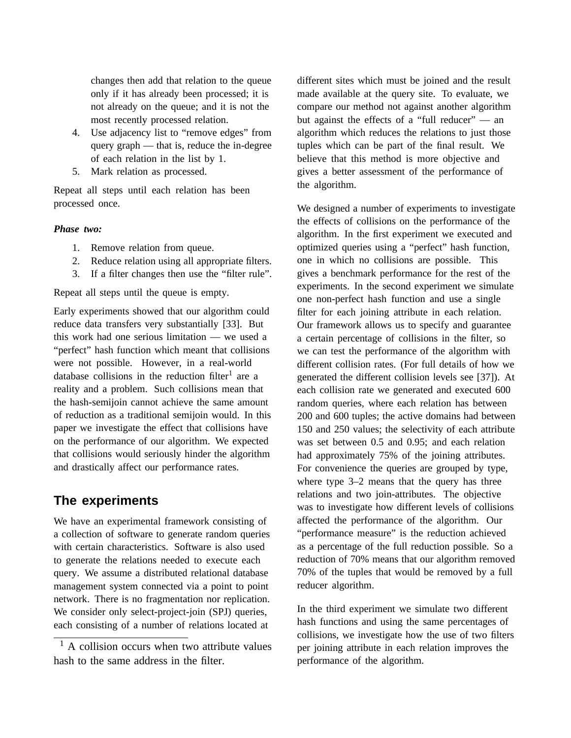changes then add that relation to the queue only if it has already been processed; it is not already on the queue; and it is not the most recently processed relation.

- 4. Use adjacency list to "remove edges" from query graph — that is, reduce the in-degree of each relation in the list by 1.
- 5. Mark relation as processed.

Repeat all steps until each relation has been processed once.

#### *Phase two:*

- 1. Remove relation from queue.
- 2. Reduce relation using all appropriate filters.
- 3. If a filter changes then use the "filter rule".

Repeat all steps until the queue is empty.

Early experiments showed that our algorithm could reduce data transfers very substantially [33]. But this work had one serious limitation — we used a "perfect" hash function which meant that collisions were not possible. However, in a real-world database collisions in the reduction filter<sup>1</sup> are a reality and a problem. Such collisions mean that the hash-semijoin cannot achieve the same amount of reduction as a traditional semijoin would. In this paper we investigate the effect that collisions have on the performance of our algorithm. We expected that collisions would seriously hinder the algorithm and drastically affect our performance rates.

### **The experiments**

We have an experimental framework consisting of a collection of software to generate random queries with certain characteristics. Software is also used to generate the relations needed to execute each query. We assume a distributed relational database management system connected via a point to point network. There is no fragmentation nor replication. We consider only select-project-join (SPJ) queries, each consisting of a number of relations located at

different sites which must be joined and the result made available at the query site. To evaluate, we compare our method not against another algorithm but against the effects of a "full reducer" — an algorithm which reduces the relations to just those tuples which can be part of the final result. We believe that this method is more objective and gives a better assessment of the performance of the algorithm.

We designed a number of experiments to investigate the effects of collisions on the performance of the algorithm. In the first experiment we executed and optimized queries using a "perfect" hash function, one in which no collisions are possible. This gives a benchmark performance for the rest of the experiments. In the second experiment we simulate one non-perfect hash function and use a single filter for each joining attribute in each relation. Our framework allows us to specify and guarantee a certain percentage of collisions in the filter, so we can test the performance of the algorithm with different collision rates. (For full details of how we generated the different collision levels see [37]). At each collision rate we generated and executed 600 random queries, where each relation has between 200 and 600 tuples; the active domains had between 150 and 250 values; the selectivity of each attribute was set between 0.5 and 0.95; and each relation had approximately 75% of the joining attributes. For convenience the queries are grouped by type, where type 3–2 means that the query has three relations and two join-attributes. The objective was to investigate how different levels of collisions affected the performance of the algorithm. Our "performance measure" is the reduction achieved as a percentage of the full reduction possible. So a reduction of 70% means that our algorithm removed 70% of the tuples that would be removed by a full reducer algorithm.

In the third experiment we simulate two different hash functions and using the same percentages of collisions, we investigate how the use of two filters per joining attribute in each relation improves the performance of the algorithm.

 $<sup>1</sup>$  A collision occurs when two attribute values</sup> hash to the same address in the filter.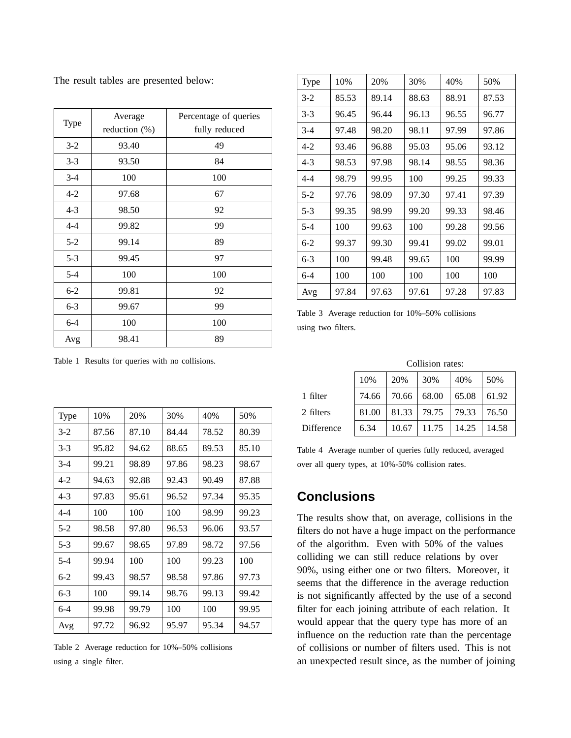The result tables are presented below:

| Type    | Average<br>reduction $(\%)$ | Percentage of queries<br>fully reduced |
|---------|-----------------------------|----------------------------------------|
| $3 - 2$ | 93.40                       | 49                                     |
| $3 - 3$ | 93.50                       | 84                                     |
| $3-4$   | 100                         | 100                                    |
| $4 - 2$ | 97.68                       | 67                                     |
| $4 - 3$ | 98.50                       | 92                                     |
| $4 - 4$ | 99.82                       | 99                                     |
| $5 - 2$ | 99.14                       | 89                                     |
| $5 - 3$ | 99.45                       | 97                                     |
| $5 - 4$ | 100                         | 100                                    |
| $6 - 2$ | 99.81                       | 92                                     |
| $6 - 3$ | 99.67                       | 99                                     |
| $6 - 4$ | 100                         | 100                                    |
| Avg     | 98.41                       | 89                                     |

| <b>Type</b> | 10%   | 20%   | 30%   | 40%   | 50%   |
|-------------|-------|-------|-------|-------|-------|
| $3-2$       | 85.53 | 89.14 | 88.63 | 88.91 | 87.53 |
| $3 - 3$     | 96.45 | 96.44 | 96.13 | 96.55 | 96.77 |
| $3-4$       | 97.48 | 98.20 | 98.11 | 97.99 | 97.86 |
| $4 - 2$     | 93.46 | 96.88 | 95.03 | 95.06 | 93.12 |
| 4-3         | 98.53 | 97.98 | 98.14 | 98.55 | 98.36 |
| $4 - 4$     | 98.79 | 99.95 | 100   | 99.25 | 99.33 |
| $5-2$       | 97.76 | 98.09 | 97.30 | 97.41 | 97.39 |
| $5 - 3$     | 99.35 | 98.99 | 99.20 | 99.33 | 98.46 |
| $5 - 4$     | 100   | 99.63 | 100   | 99.28 | 99.56 |
| $6 - 2$     | 99.37 | 99.30 | 99.41 | 99.02 | 99.01 |
| $6 - 3$     | 100   | 99.48 | 99.65 | 100   | 99.99 |
| $6 - 4$     | 100   | 100   | 100   | 100   | 100   |
| Avg         | 97.84 | 97.63 | 97.61 | 97.28 | 97.83 |

Table 3 Average reduction for 10%–50% collisions using two filters.

Table 1 Results for queries with no collisions.

| Type    | 10%   | 20%   | 30%   | 40%   | 50%   |
|---------|-------|-------|-------|-------|-------|
| $3-2$   | 87.56 | 87.10 | 84.44 | 78.52 | 80.39 |
| $3 - 3$ | 95.82 | 94.62 | 88.65 | 89.53 | 85.10 |
| $3-4$   | 99.21 | 98.89 | 97.86 | 98.23 | 98.67 |
| $4 - 2$ | 94.63 | 92.88 | 92.43 | 90.49 | 87.88 |
| $4 - 3$ | 97.83 | 95.61 | 96.52 | 97.34 | 95.35 |
| $4 - 4$ | 100   | 100   | 100   | 98.99 | 99.23 |
| $5-2$   | 98.58 | 97.80 | 96.53 | 96.06 | 93.57 |
| $5 - 3$ | 99.67 | 98.65 | 97.89 | 98.72 | 97.56 |
| $5-4$   | 99.94 | 100   | 100   | 99.23 | 100   |
| $6-2$   | 99.43 | 98.57 | 98.58 | 97.86 | 97.73 |
| $6 - 3$ | 100   | 99.14 | 98.76 | 99.13 | 99.42 |
| $6 - 4$ | 99.98 | 99.79 | 100   | 100   | 99.95 |
| Avg     | 97.72 | 96.92 | 95.97 | 95.34 | 94.57 |

Table 2 Average reduction for 10%–50% collisions using a single filter.

|            | Сонімон тако. |             |                   |       |       |  |  |
|------------|---------------|-------------|-------------------|-------|-------|--|--|
|            | 10%           | 20%         | 30%               | 40%   | 50%   |  |  |
| 1 filter   | 74.66         | 70.66 68.00 |                   | 65.08 | 61.92 |  |  |
| 2 filters  | 81.00         |             | 81.33 79.75 79.33 |       | 76.50 |  |  |
| Difference | 6.34          | 10.67       | 11.75             | 14.25 | 14.58 |  |  |

Collision rates:

Table 4 Average number of queries fully reduced, averaged over all query types, at 10%-50% collision rates.

### **Conclusions**

The results show that, on average, collisions in the filters do not have a huge impact on the performance of the algorithm. Even with 50% of the values colliding we can still reduce relations by over 90%, using either one or two filters. Moreover, it seems that the difference in the average reduction is not significantly affected by the use of a second filter for each joining attribute of each relation. It would appear that the query type has more of an influence on the reduction rate than the percentage of collisions or number of filters used. This is not an unexpected result since, as the number of joining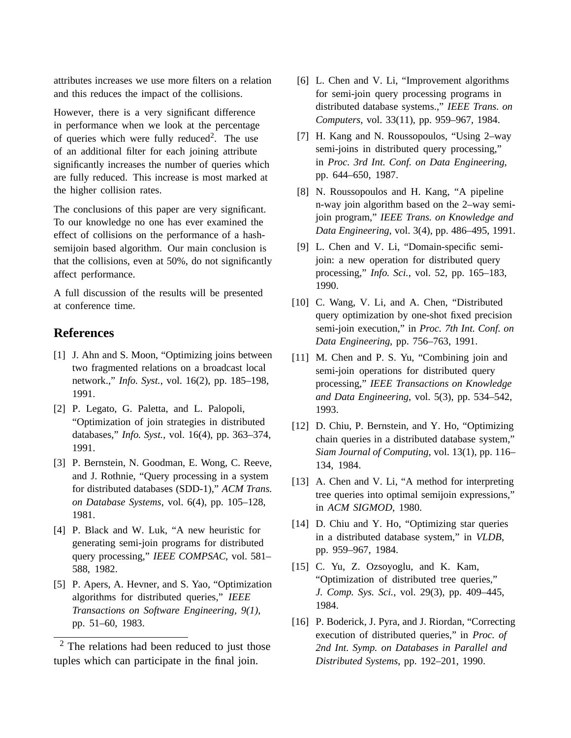attributes increases we use more filters on a relation and this reduces the impact of the collisions.

However, there is a very significant difference in performance when we look at the percentage of queries which were fully reduced<sup>2</sup>. The use of an additional filter for each joining attribute significantly increases the number of queries which are fully reduced. This increase is most marked at the higher collision rates.

The conclusions of this paper are very significant. To our knowledge no one has ever examined the effect of collisions on the performance of a hashsemijoin based algorithm. Our main conclusion is that the collisions, even at 50%, do not significantly affect performance.

A full discussion of the results will be presented at conference time.

### **References**

- [1] J. Ahn and S. Moon, "Optimizing joins between two fragmented relations on a broadcast local network.," *Info. Syst.*, vol. 16(2), pp. 185–198, 1991.
- [2] P. Legato, G. Paletta, and L. Palopoli, "Optimization of join strategies in distributed databases," *Info. Syst.*, vol. 16(4), pp. 363–374, 1991.
- [3] P. Bernstein, N. Goodman, E. Wong, C. Reeve, and J. Rothnie, "Query processing in a system for distributed databases (SDD-1)," *ACM Trans. on Database Systems*, vol. 6(4), pp. 105–128, 1981.
- [4] P. Black and W. Luk, "A new heuristic for generating semi-join programs for distributed query processing," *IEEE COMPSAC*, vol. 581– 588, 1982.
- [5] P. Apers, A. Hevner, and S. Yao, "Optimization algorithms for distributed queries," *IEEE Transactions on Software Engineering, 9(1)*, pp. 51–60, 1983.

 $2$  The relations had been reduced to just those tuples which can participate in the final join.

- [6] L. Chen and V. Li, "Improvement algorithms for semi-join query processing programs in distributed database systems.," *IEEE Trans. on Computers*, vol. 33(11), pp. 959–967, 1984.
- [7] H. Kang and N. Roussopoulos, "Using 2–way semi-joins in distributed query processing," in *Proc. 3rd Int. Conf. on Data Engineering*, pp. 644–650, 1987.
- [8] N. Roussopoulos and H. Kang, "A pipeline n-way join algorithm based on the 2–way semijoin program," *IEEE Trans. on Knowledge and Data Engineering*, vol. 3(4), pp. 486–495, 1991.
- [9] L. Chen and V. Li, "Domain-specific semijoin: a new operation for distributed query processing," *Info. Sci.*, vol. 52, pp. 165–183, 1990.
- [10] C. Wang, V. Li, and A. Chen, "Distributed query optimization by one-shot fixed precision semi-join execution," in *Proc. 7th Int. Conf. on Data Engineering*, pp. 756–763, 1991.
- [11] M. Chen and P. S. Yu, "Combining join and semi-join operations for distributed query processing," *IEEE Transactions on Knowledge and Data Engineering*, vol. 5(3), pp. 534–542, 1993.
- [12] D. Chiu, P. Bernstein, and Y. Ho, "Optimizing chain queries in a distributed database system," *Siam Journal of Computing*, vol. 13(1), pp. 116– 134, 1984.
- [13] A. Chen and V. Li, "A method for interpreting tree queries into optimal semijoin expressions," in *ACM SIGMOD*, 1980.
- [14] D. Chiu and Y. Ho, "Optimizing star queries in a distributed database system," in *VLDB*, pp. 959–967, 1984.
- [15] C. Yu, Z. Ozsoyoglu, and K. Kam, "Optimization of distributed tree queries," *J. Comp. Sys. Sci.*, vol. 29(3), pp. 409–445, 1984.
- [16] P. Boderick, J. Pyra, and J. Riordan, "Correcting execution of distributed queries," in *Proc. of 2nd Int. Symp. on Databases in Parallel and Distributed Systems*, pp. 192–201, 1990.